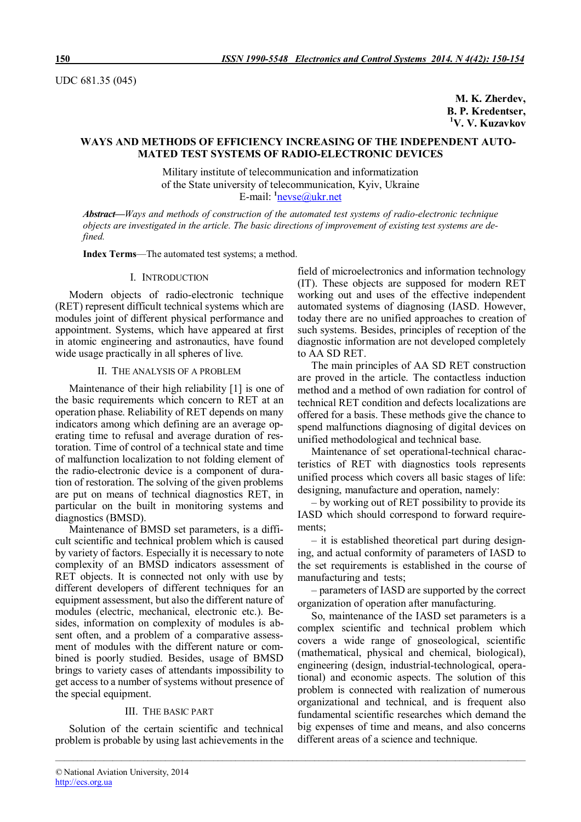UDC 681.35 (045)

**M. K. Zherdev, B. P. Kredentser, <sup>1</sup>V. V. Kuzavkov** 

# **WAYS AND METHODS OF EFFICIENCY INCREASING OF THE INDEPENDENT AUTO-MATED TEST SYSTEMS OF RADIO-ELECTRONIC DEVICES**

Military institute of telecommunication and informatization of the State university of telecommunication, Kyiv, Ukraine E-mail: **<sup>1</sup>** nevse@ukr.net

*Abstract***—***Ways and methods of construction of the automated test systems of radio-electronic technique objects are investigated in the article. The basic directions of improvement of existing test systems are defined.*

*\_\_\_\_\_\_\_\_\_\_\_\_\_\_\_\_\_\_\_\_\_\_\_\_\_\_\_\_\_\_\_\_\_\_\_\_\_\_\_\_\_\_\_\_\_\_\_\_\_\_\_\_\_\_\_\_\_\_\_\_\_\_\_\_\_\_\_\_\_\_\_\_\_\_\_\_\_\_\_\_\_\_\_\_\_\_\_\_\_\_\_\_\_\_\_\_\_\_\_\_\_\_\_\_\_\_\_*

**Index Terms**—The automated test systems; a method.

## I. INTRODUCTION

Modern objects of radio-electronic technique (RET) represent difficult technical systems which are modules joint of different physical performance and appointment. Systems, which have appeared at first in atomic engineering and astronautics, have found wide usage practically in all spheres of live.

### IІ. THE ANALYSIS OF A PROBLEM

Maintenance of their high reliability [1] is one of the basic requirements which concern to RET at an operation phase. Reliability of RET depends on many indicators among which defining are an average operating time to refusal and average duration of restoration. Time of control of a technical state and time of malfunction localization to not folding element of the radio-electronic device is a component of duration of restoration. The solving of the given problems are put on means of technical diagnostics RET, in particular on the built in monitoring systems and diagnostics (BMSD).

Maintenance of BMSD set parameters, is a difficult scientific and technical problem which is caused by variety of factors. Especially it is necessary to note complexity of an BMSD indicators assessment of RET objects. It is connected not only with use by different developers of different techniques for an equipment assessment, but also the different nature of modules (electric, mechanical, electronic etc.). Besides, information on complexity of modules is absent often, and a problem of a comparative assessment of modules with the different nature or combined is poorly studied. Besides, usage of BMSD brings to variety cases of attendants impossibility to get access to a number of systems without presence of the special equipment.

# III. THE BASIC PART

Solution of the certain scientific and technical problem is probable by using last achievements in the

field of microelectronics and information technology (ІТ). These objects are supposed for modern RET working out and uses of the effective independent automated systems of diagnosing (IASD. However, today there are no unified approaches to creation of such systems. Besides, principles of reception of the diagnostic information are not developed completely to AA SD RET.

The main principles of AA SD RET construction are proved in the article. The contactless induction method and a method of own radiation for control of technical RET condition and defects localizations are offered for a basis. These methods give the chance to spend malfunctions diagnosing of digital devices on unified methodological and technical base.

Maintenance of set operational-technical characteristics of RET with diagnostics tools represents unified process which covers all basic stages of life: designing, manufacture and operation, namely:

– by working out of RET possibility to provide its IASD which should correspond to forward requirements;

– it is established theoretical part during designing, and actual conformity of parameters of IASD to the set requirements is established in the course of manufacturing and tests;

– parameters of IASD are supported by the correct organization of operation after manufacturing.

So, maintenance of the IASD set parameters is a complex scientific and technical problem which covers a wide range of gnoseological, scientific (mathematical, physical and chemical, biological), engineering (design, industrial-technological, operational) and economic aspects. The solution of this problem is connected with realization of numerous organizational and technical, and is frequent also fundamental scientific researches which demand the big expenses of time and means, and also concerns different areas of a science and technique.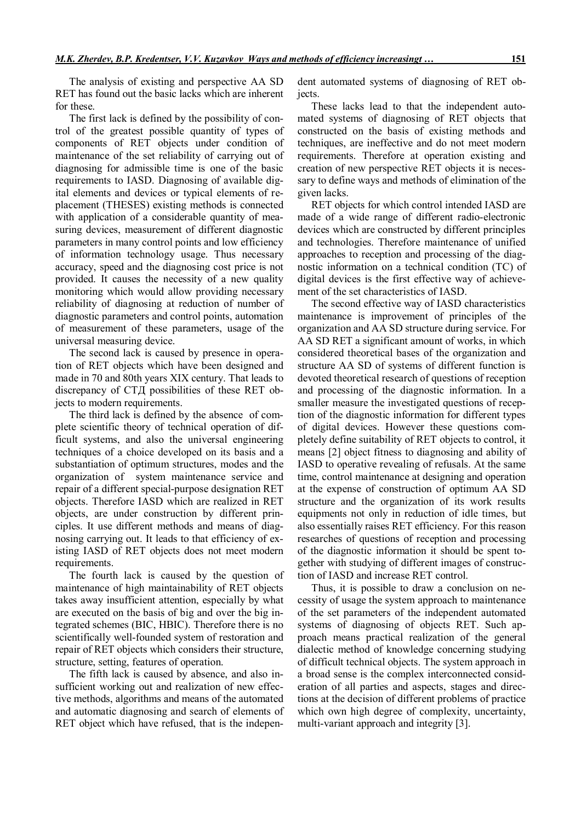The analysis of existing and perspective AA SD RET has found out the basic lacks which are inherent for these.

The first lack is defined by the possibility of control of the greatest possible quantity of types of components of RET objects under condition of maintenance of the set reliability of carrying out of diagnosing for admissible time is one of the basic requirements to IASD. Diagnosing of available digital elements and devices or typical elements of replacement (THESES) existing methods is connected with application of a considerable quantity of measuring devices, measurement of different diagnostic parameters in many control points and low efficiency of information technology usage. Thus necessary accuracy, speed and the diagnosing cost price is not provided. It causes the necessity of a new quality monitoring which would allow providing necessary reliability of diagnosing at reduction of number of diagnostic parameters and control points, automation of measurement of these parameters, usage of the universal measuring device.

The second lack is caused by presence in operation of RET objects which have been designed and made in 70 and 80th years ХІХ century. That leads to discrepancy of СТД possibilities of these RET objects to modern requirements.

The third lack is defined by the absence of complete scientific theory of technical operation of difficult systems, and also the universal engineering techniques of a choice developed on its basis and a substantiation of optimum structures, modes and the organization of system maintenance service and repair of a different special-purpose designation RET objects. Therefore IASD which are realized in RET objects, are under construction by different principles. It use different methods and means of diagnosing carrying out. It leads to that efficiency of existing IASD of RET objects does not meet modern requirements.

The fourth lack is caused by the question of maintenance of high maintainability of RET objects takes away insufficient attention, especially by what are executed on the basis of big and over the big integrated schemes (ВІС, НВІС). Therefore there is no scientifically well-founded system of restoration and repair of RET objects which considers their structure, structure, setting, features of operation.

The fifth lack is caused by absence, and also insufficient working out and realization of new effective methods, algorithms and means of the automated and automatic diagnosing and search of elements of RET object which have refused, that is the indepen-

dent automated systems of diagnosing of RET objects.

These lacks lead to that the independent automated systems of diagnosing of RET objects that constructed on the basis of existing methods and techniques, are ineffective and do not meet modern requirements. Therefore at operation existing and creation of new perspective RET objects it is necessary to define ways and methods of elimination of the given lacks.

RET objects for which control intended IASD are made of a wide range of different radio-electronic devices which are constructed by different principles and technologies. Therefore maintenance of unified approaches to reception and processing of the diagnostic information on a technical condition (TC) of digital devices is the first effective way of achievement of the set characteristics of IASD.

The second effective way of IASD characteristics maintenance is improvement of principles of the organization and AA SD structure during service. For AA SD RET a significant amount of works, in which considered theoretical bases of the organization and structure AA SD of systems of different function is devoted theoretical research of questions of reception and processing of the diagnostic information. In a smaller measure the investigated questions of reception of the diagnostic information for different types of digital devices. However these questions completely define suitability of RET objects to control, it means [2] object fitness to diagnosing and ability of IASD to operative revealing of refusals. At the same time, control maintenance at designing and operation at the expense of construction of optimum AA SD structure and the organization of its work results equipments not only in reduction of idle times, but also essentially raises RET efficiency. For this reason researches of questions of reception and processing of the diagnostic information it should be spent together with studying of different images of construction of IASD and increase RET control.

Thus, it is possible to draw a conclusion on necessity of usage the system approach to maintenance of the set parameters of the independent automated systems of diagnosing of objects RET. Such approach means practical realization of the general dialectic method of knowledge concerning studying of difficult technical objects. The system approach in a broad sense is the complex interconnected consideration of all parties and aspects, stages and directions at the decision of different problems of practice which own high degree of complexity, uncertainty, multi-variant approach and integrity [3].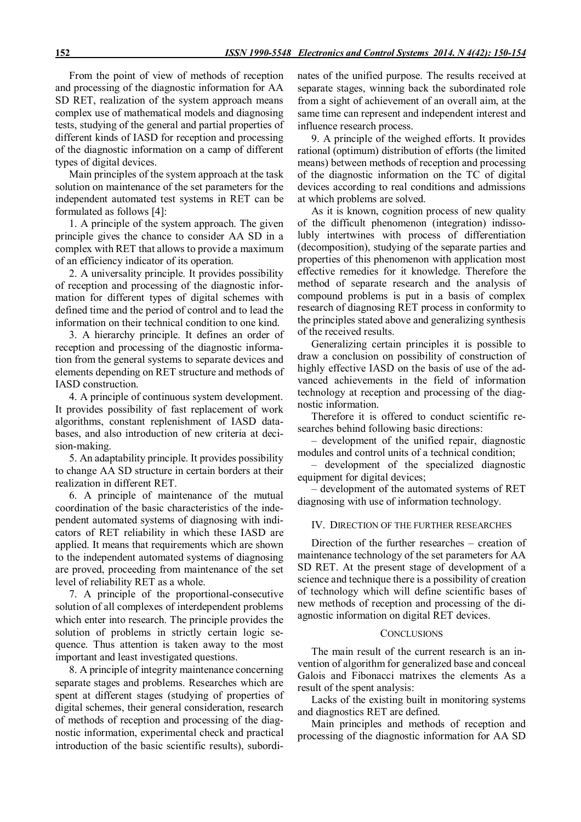From the point of view of methods of reception and processing of the diagnostic information for AA SD RET, realization of the system approach means complex use of mathematical models and diagnosing tests, studying of the general and partial properties of different kinds of IASD for reception and processing of the diagnostic information on a camp of different types of digital devices.

Main principles of the system approach at the task solution on maintenance of the set parameters for the independent automated test systems in RET can be formulated as follows [4]:

1. A principle of the system approach. The given principle gives the chance to consider AA SD in a complex with RET that allows to provide a maximum of an efficiency indicator of its operation.

2. A universality principle. It provides possibility of reception and processing of the diagnostic information for different types of digital schemes with defined time and the period of control and to lead the information on their technical condition to one kind.

3. A hierarchy principle. It defines an order of reception and processing of the diagnostic information from the general systems to separate devices and elements depending on RET structure and methods of IASD construction.

4. A principle of continuous system development. It provides possibility of fast replacement of work algorithms, constant replenishment of IASD databases, and also introduction of new criteria at decision-making.

5. An adaptability principle. It provides possibility to change AA SD structure in certain borders at their realization in different RET.

6. A principle of maintenance of the mutual coordination of the basic characteristics of the independent automated systems of diagnosing with indicators of RET reliability in which these IASD are applied. It means that requirements which are shown to the independent automated systems of diagnosing are proved, proceeding from maintenance of the set level of reliability RET as a whole.

7. A principle of the proportional-consecutive solution of all complexes of interdependent problems which enter into research. The principle provides the solution of problems in strictly certain logic sequence. Thus attention is taken away to the most important and least investigated questions.

8. A principle of integrity maintenance concerning separate stages and problems. Researches which are spent at different stages (studying of properties of digital schemes, their general consideration, research of methods of reception and processing of the diagnostic information, experimental check and practical introduction of the basic scientific results), subordinates of the unified purpose. The results received at separate stages, winning back the subordinated role from a sight of achievement of an overall aim, at the same time can represent and independent interest and influence research process.

9. A principle of the weighed efforts. It provides rational (optimum) distribution of efforts (the limited means) between methods of reception and processing of the diagnostic information on the TC of digital devices according to real conditions and admissions at which problems are solved.

As it is known, cognition process of new quality of the difficult phenomenon (integration) indissolubly intertwines with process of differentiation (decomposition), studying of the separate parties and properties of this phenomenon with application most effective remedies for it knowledge. Therefore the method of separate research and the analysis of compound problems is put in a basis of complex research of diagnosing RET process in conformity to the principles stated above and generalizing synthesis of the received results.

Generalizing certain principles it is possible to draw a conclusion on possibility of construction of highly effective IASD on the basis of use of the advanced achievements in the field of information technology at reception and processing of the diagnostic information.

Therefore it is offered to conduct scientific researches behind following basic directions:

– development of the unified repair, diagnostic modules and control units of a technical condition;

– development of the specialized diagnostic equipment for digital devices;

– development of the automated systems of RET diagnosing with use of information technology.

## IV.DIRECTION OF THE FURTHER RESEARCHES

Direction of the further researches – creation of maintenance technology of the set parameters for AA SD RET. At the present stage of development of a science and technique there is a possibility of creation of technology which will define scientific bases of new methods of reception and processing of the diagnostic information on digital RET devices.

#### **CONCLUSIONS**

The main result of the current research is an invention of algorithm for generalized base and conceal Galois and Fibonacci matrixes the elements As a result of the spent analysis:

Lacks of the existing built in monitoring systems and diagnostics RET are defined.

Main principles and methods of reception and processing of the diagnostic information for AA SD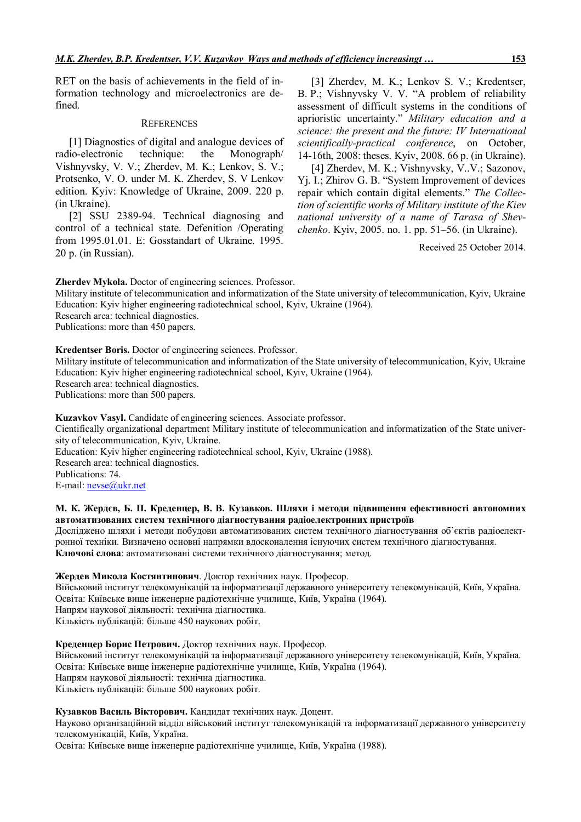RET on the basis of achievements in the field of information technology and microelectronics are defined.

#### **REFERENCES**

[1] Diagnostics of digital and analogue devices of radio-electronic technique: the Monograph/ Vishnyvsky, V. V.; Zherdev, M. K.; Lenkov, S. V.; Protsenko, V. O. under M. K. Zherdev, S. V Lenkov edition. Kyiv: Knowledge of Ukraine, 2009. 220 p. (in Ukraine).

[2] SSU 2389-94. Technical diagnosing and control of a technical state. Defenition /Operating from 1995.01.01. E: Gosstandart of Ukraine. 1995. 20 p. (in Russian).

[3] Zherdev, M. K.; Lenkov S. V.; Kredentser, B. P.; Vishnyvsky V. V. "A problem of reliability assessment of difficult systems in the conditions of aprioristic uncertainty." *Military education and a science: the present and the future: IV International scientifically-practical conference*, on October, 14-16th, 2008: theses. Kyiv, 2008. 66 p. (in Ukraine).

[4] Zherdev, M. K.; Vishnyvsky, V..V.; Sazonov, Yj. I.; Zhirov G. B. "System Improvement of devices repair which contain digital elements." *The Collection of scientific works of Military institute of the Kiev national university of a name of Tarasa of Shevchenko*. Kyiv, 2005. no. 1. pp. 51–56. (in Ukraine).

Received 25 October 2014.

**Zherdev Mykola.** Doctor of engineering sciences. Professor.

Military institute of telecommunication and informatization of the State university of telecommunication, Kyiv, Ukraine Education: Kyiv higher engineering radiotechnical school, Kyiv, Ukraine (1964).

Research area: technical diagnostics.

Publications: more than 450 papers.

**Kredentser Boris.** Doctor of engineering sciences. Professor.

Military institute of telecommunication and informatization of the State university of telecommunication, Kyiv, Ukraine Education: Kyiv higher engineering radiotechnical school, Kyiv, Ukraine (1964). Research area: technical diagnostics.

Publications: more than 500 papers.

**Kuzavkov Vasyl.** Candidate of engineering sciences. Associate professor.

Cientifically organizational department Military institute of telecommunication and informatization of the State university of telecommunication, Kyiv, Ukraine.

Education: Kyiv higher engineering radiotechnical school, Kyiv, Ukraine (1988).

Research area: technical diagnostics.

Publications: 74.

E-mail: nevse@ukr.net

## **М. К. Жердєв, Б. П. Креденцер, В. В. Кузавков. Шляхи і методи підвищення ефективності автономних автоматизованих систем технічного діагностування радіоелектронних пристроїв**

Досліджено шляхи і методи побудови автоматизованих систем технічного діагностування об'єктів радіоелектронної техніки. Визначено основні напрямки вдосконалення існуючих систем технічного діагностування. **Ключові слова**: автоматизовані системи технічного діагностування; метод.

### **Жердев Микола Костянтинович**. Доктор технічних наук. Професор.

Військовий інститут телекомунікацій та інформатизації державного університету телекомунікацій, Київ, Україна. Освіта: Київське вище інженерне радіотехнічне училище, Київ, Україна (1964). Напрям наукової діяльності: технічна діагностика.

Кількість публікацій: більше 450 наукових робіт.

### **Креденцер Борис Петрович.** Доктор технічних наук. Професор.

Військовий інститут телекомунікацій та інформатизації державного університету телекомунікацій, Київ, Україна. Освіта: Київське вище інженерне радіотехнічне училище, Київ, Україна (1964). Напрям наукової діяльності: технічна діагностика. Кількість публікацій: більше 500 наукових робіт.

#### **Кузавков Василь Вікторович.** Кандидат технічних наук. Доцент.

Науково організаційний відділ військовий інститут телекомунікацій та інформатизації державного університету телекомунікацій, Київ, Україна.

Освіта: Київське вище інженерне радіотехнічне училище, Київ, Україна (1988).